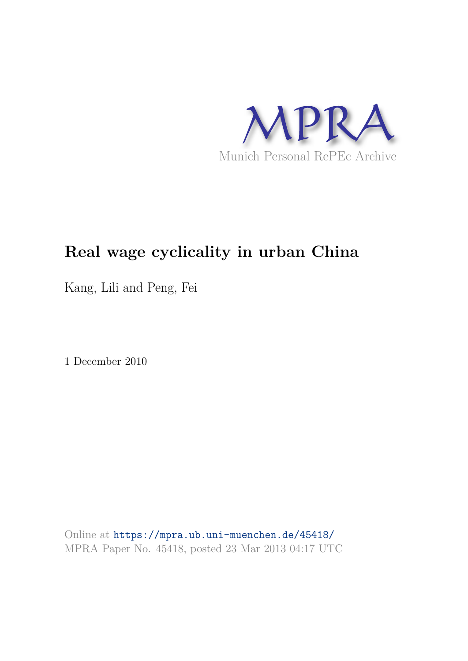

# **Real wage cyclicality in urban China**

Kang, Lili and Peng, Fei

1 December 2010

Online at https://mpra.ub.uni-muenchen.de/45418/ MPRA Paper No. 45418, posted 23 Mar 2013 04:17 UTC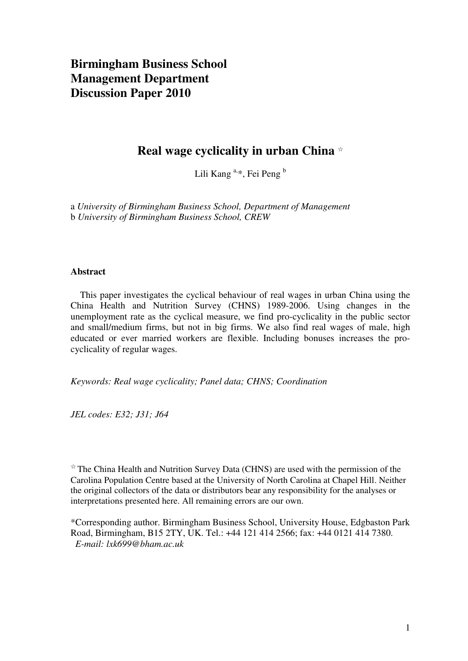## **Birmingham Business School Management Department Discussion Paper 2010**

### **Real wage cyclicality in urban China** ☆

Lili Kang<sup>a,\*</sup>, Fei Peng<sup>b</sup>

a *University of Birmingham Business School, Department of Management* b *University of Birmingham Business School, CREW*

#### **Abstract**

 This paper investigates the cyclical behaviour of real wages in urban China using the China Health and Nutrition Survey (CHNS) 1989-2006. Using changes in the unemployment rate as the cyclical measure, we find pro-cyclicality in the public sector and small/medium firms, but not in big firms. We also find real wages of male, high educated or ever married workers are flexible. Including bonuses increases the procyclicality of regular wages.

*Keywords: Real wage cyclicality; Panel data; CHNS; Coordination* 

*JEL codes: E32; J31; J64* 

 $\overrightarrow{r}$  The China Health and Nutrition Survey Data (CHNS) are used with the permission of the Carolina Population Centre based at the University of North Carolina at Chapel Hill. Neither the original collectors of the data or distributors bear any responsibility for the analyses or interpretations presented here. All remaining errors are our own.

\*Corresponding author. Birmingham Business School, University House, Edgbaston Park Road, Birmingham, B15 2TY, UK. Tel.: +44 121 414 2566; fax: +44 0121 414 7380. *E-mail: lxk699@bham.ac.uk*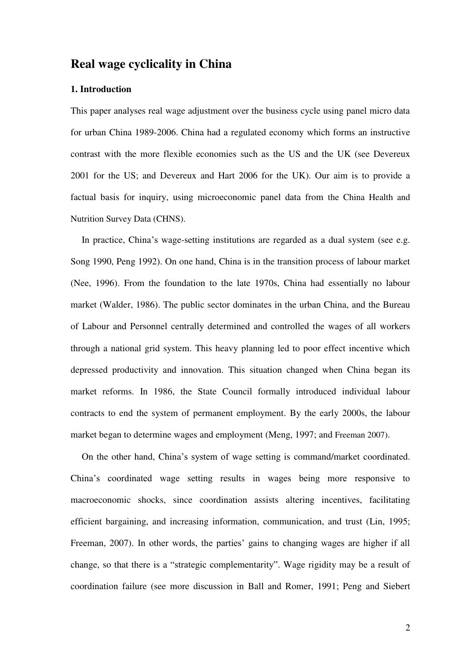### **Real wage cyclicality in China**

#### **1. Introduction**

This paper analyses real wage adjustment over the business cycle using panel micro data for urban China 1989-2006. China had a regulated economy which forms an instructive contrast with the more flexible economies such as the US and the UK (see Devereux 2001 for the US; and Devereux and Hart 2006 for the UK). Our aim is to provide a factual basis for inquiry, using microeconomic panel data from the China Health and Nutrition Survey Data (CHNS).

In practice, China's wage-setting institutions are regarded as a dual system (see e.g. Song 1990, Peng 1992). On one hand, China is in the transition process of labour market (Nee, 1996). From the foundation to the late 1970s, China had essentially no labour market (Walder, 1986). The public sector dominates in the urban China, and the Bureau of Labour and Personnel centrally determined and controlled the wages of all workers through a national grid system. This heavy planning led to poor effect incentive which depressed productivity and innovation. This situation changed when China began its market reforms. In 1986, the State Council formally introduced individual labour contracts to end the system of permanent employment. By the early 2000s, the labour market began to determine wages and employment (Meng, 1997; and Freeman 2007).

On the other hand, China's system of wage setting is command/market coordinated. China's coordinated wage setting results in wages being more responsive to macroeconomic shocks, since coordination assists altering incentives, facilitating efficient bargaining, and increasing information, communication, and trust (Lin, 1995; Freeman, 2007). In other words, the parties' gains to changing wages are higher if all change, so that there is a "strategic complementarity". Wage rigidity may be a result of coordination failure (see more discussion in Ball and Romer, 1991; Peng and Siebert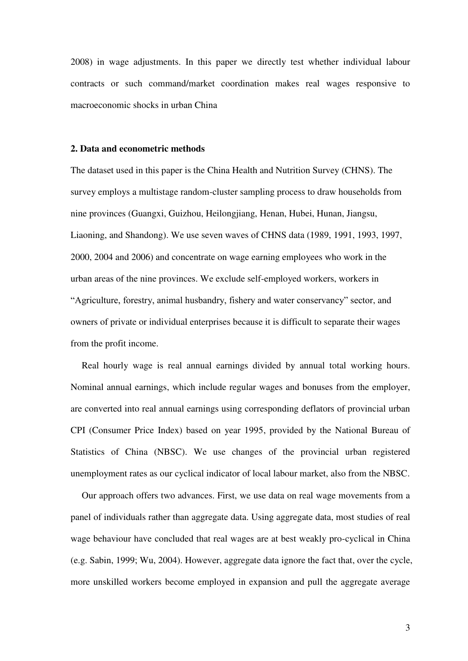2008) in wage adjustments. In this paper we directly test whether individual labour contracts or such command/market coordination makes real wages responsive to macroeconomic shocks in urban China

#### **2. Data and econometric methods**

The dataset used in this paper is the China Health and Nutrition Survey (CHNS). The survey employs a multistage random-cluster sampling process to draw households from nine provinces (Guangxi, Guizhou, Heilongjiang, Henan, Hubei, Hunan, Jiangsu, Liaoning, and Shandong). We use seven waves of CHNS data (1989, 1991, 1993, 1997, 2000, 2004 and 2006) and concentrate on wage earning employees who work in the urban areas of the nine provinces. We exclude self-employed workers, workers in "Agriculture, forestry, animal husbandry, fishery and water conservancy" sector, and owners of private or individual enterprises because it is difficult to separate their wages from the profit income.

Real hourly wage is real annual earnings divided by annual total working hours. Nominal annual earnings, which include regular wages and bonuses from the employer, are converted into real annual earnings using corresponding deflators of provincial urban CPI (Consumer Price Index) based on year 1995, provided by the National Bureau of Statistics of China (NBSC). We use changes of the provincial urban registered unemployment rates as our cyclical indicator of local labour market, also from the NBSC.

Our approach offers two advances. First, we use data on real wage movements from a panel of individuals rather than aggregate data. Using aggregate data, most studies of real wage behaviour have concluded that real wages are at best weakly pro-cyclical in China (e.g. Sabin, 1999; Wu, 2004). However, aggregate data ignore the fact that, over the cycle, more unskilled workers become employed in expansion and pull the aggregate average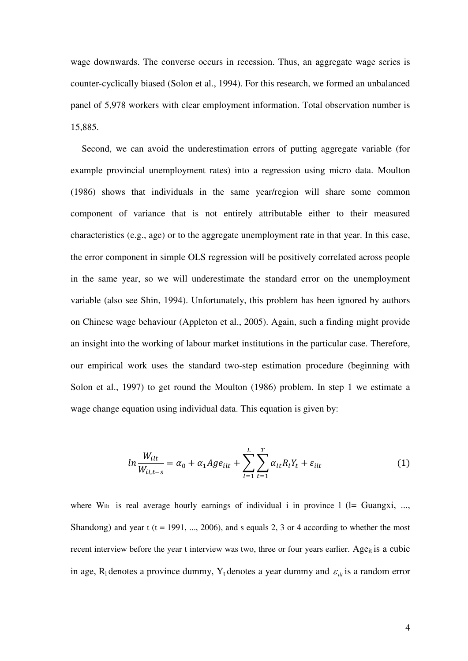wage downwards. The converse occurs in recession. Thus, an aggregate wage series is counter-cyclically biased (Solon et al., 1994). For this research, we formed an unbalanced panel of 5,978 workers with clear employment information. Total observation number is 15,885.

Second, we can avoid the underestimation errors of putting aggregate variable (for example provincial unemployment rates) into a regression using micro data. Moulton (1986) shows that individuals in the same year/region will share some common component of variance that is not entirely attributable either to their measured characteristics (e.g., age) or to the aggregate unemployment rate in that year. In this case, the error component in simple OLS regression will be positively correlated across people in the same year, so we will underestimate the standard error on the unemployment variable (also see Shin, 1994). Unfortunately, this problem has been ignored by authors on Chinese wage behaviour (Appleton et al., 2005). Again, such a finding might provide an insight into the working of labour market institutions in the particular case. Therefore, our empirical work uses the standard two-step estimation procedure (beginning with Solon et al., 1997) to get round the Moulton (1986) problem. In step 1 we estimate a wage change equation using individual data. This equation is given by:

$$
ln \frac{W_{ilt}}{W_{il,t-s}} = \alpha_0 + \alpha_1 Age_{ilt} + \sum_{l=1}^{L} \sum_{t=1}^{T} \alpha_{lt} R_l Y_t + \varepsilon_{ilt}
$$
 (1)

where W<sub>ilt</sub> is real average hourly earnings of individual i in province  $1$  ( $l=$  Guangxi, ..., Shandong) and year t ( $t = 1991, \ldots, 2006$ ), and s equals 2, 3 or 4 according to whether the most recent interview before the year t interview was two, three or four years earlier. Age<sub>it</sub> is a cubic in age, R<sub>l</sub> denotes a province dummy, Y<sub>t</sub> denotes a year dummy and  $\varepsilon_{ik}$  is a random error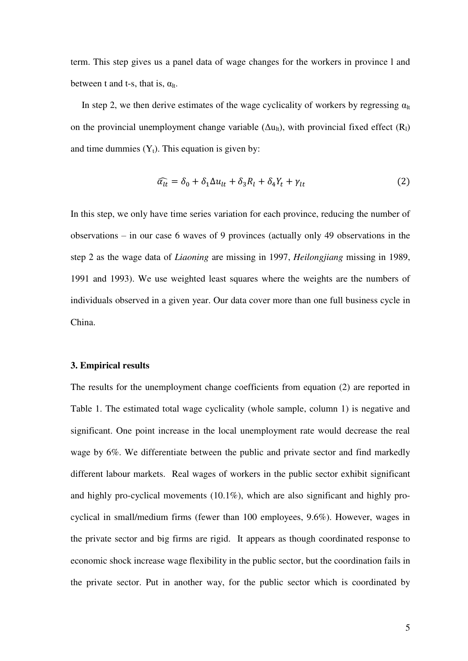term. This step gives us a panel data of wage changes for the workers in province l and between t and t-s, that is,  $\alpha_{\text{lt}}$ .

In step 2, we then derive estimates of the wage cyclicality of workers by regressing  $\alpha_{\text{lt}}$ on the provincial unemployment change variable  $(\Delta u_{\text{It}})$ , with provincial fixed effect  $(R_1)$ and time dummies  $(Y_t)$ . This equation is given by:

$$
\widehat{\alpha_{lt}} = \delta_0 + \delta_1 \Delta u_{lt} + \delta_3 R_l + \delta_4 Y_t + \gamma_{lt} \tag{2}
$$

In this step, we only have time series variation for each province, reducing the number of observations – in our case 6 waves of 9 provinces (actually only 49 observations in the step 2 as the wage data of *Liaoning* are missing in 1997, *Heilongjiang* missing in 1989, 1991 and 1993). We use weighted least squares where the weights are the numbers of individuals observed in a given year. Our data cover more than one full business cycle in China.

#### **3. Empirical results**

The results for the unemployment change coefficients from equation (2) are reported in Table 1. The estimated total wage cyclicality (whole sample, column 1) is negative and significant. One point increase in the local unemployment rate would decrease the real wage by 6%. We differentiate between the public and private sector and find markedly different labour markets. Real wages of workers in the public sector exhibit significant and highly pro-cyclical movements (10.1%), which are also significant and highly procyclical in small/medium firms (fewer than 100 employees, 9.6%). However, wages in the private sector and big firms are rigid. It appears as though coordinated response to economic shock increase wage flexibility in the public sector, but the coordination fails in the private sector. Put in another way, for the public sector which is coordinated by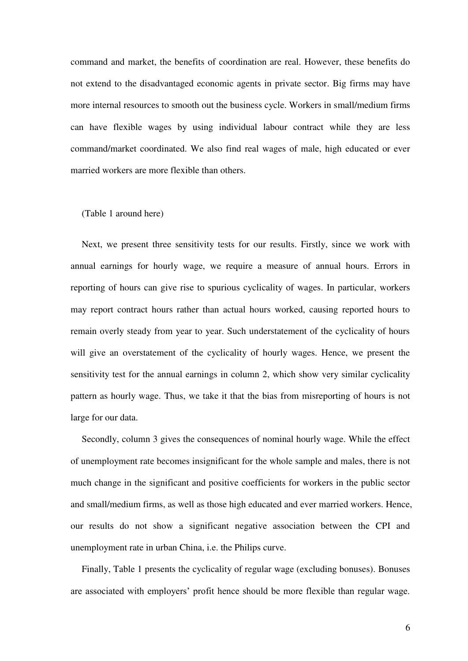command and market, the benefits of coordination are real. However, these benefits do not extend to the disadvantaged economic agents in private sector. Big firms may have more internal resources to smooth out the business cycle. Workers in small/medium firms can have flexible wages by using individual labour contract while they are less command/market coordinated. We also find real wages of male, high educated or ever married workers are more flexible than others.

#### (Table 1 around here)

Next, we present three sensitivity tests for our results. Firstly, since we work with annual earnings for hourly wage, we require a measure of annual hours. Errors in reporting of hours can give rise to spurious cyclicality of wages. In particular, workers may report contract hours rather than actual hours worked, causing reported hours to remain overly steady from year to year. Such understatement of the cyclicality of hours will give an overstatement of the cyclicality of hourly wages. Hence, we present the sensitivity test for the annual earnings in column 2, which show very similar cyclicality pattern as hourly wage. Thus, we take it that the bias from misreporting of hours is not large for our data.

Secondly, column 3 gives the consequences of nominal hourly wage. While the effect of unemployment rate becomes insignificant for the whole sample and males, there is not much change in the significant and positive coefficients for workers in the public sector and small/medium firms, as well as those high educated and ever married workers. Hence, our results do not show a significant negative association between the CPI and unemployment rate in urban China, i.e. the Philips curve.

Finally, Table 1 presents the cyclicality of regular wage (excluding bonuses). Bonuses are associated with employers' profit hence should be more flexible than regular wage.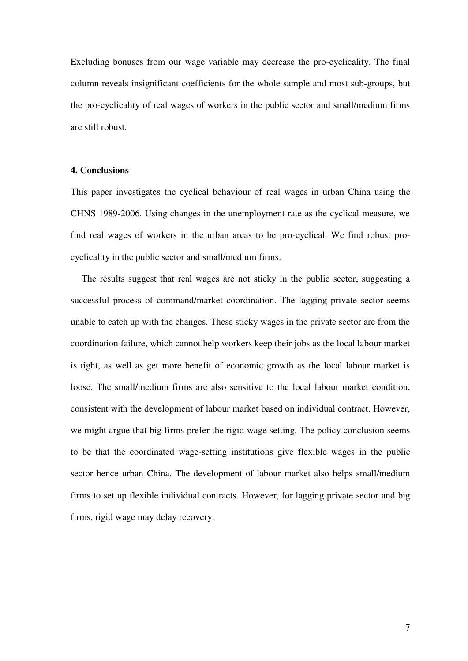Excluding bonuses from our wage variable may decrease the pro-cyclicality. The final column reveals insignificant coefficients for the whole sample and most sub-groups, but the pro-cyclicality of real wages of workers in the public sector and small/medium firms are still robust.

#### **4. Conclusions**

This paper investigates the cyclical behaviour of real wages in urban China using the CHNS 1989-2006. Using changes in the unemployment rate as the cyclical measure, we find real wages of workers in the urban areas to be pro-cyclical. We find robust procyclicality in the public sector and small/medium firms.

The results suggest that real wages are not sticky in the public sector, suggesting a successful process of command/market coordination. The lagging private sector seems unable to catch up with the changes. These sticky wages in the private sector are from the coordination failure, which cannot help workers keep their jobs as the local labour market is tight, as well as get more benefit of economic growth as the local labour market is loose. The small/medium firms are also sensitive to the local labour market condition, consistent with the development of labour market based on individual contract. However, we might argue that big firms prefer the rigid wage setting. The policy conclusion seems to be that the coordinated wage-setting institutions give flexible wages in the public sector hence urban China. The development of labour market also helps small/medium firms to set up flexible individual contracts. However, for lagging private sector and big firms, rigid wage may delay recovery.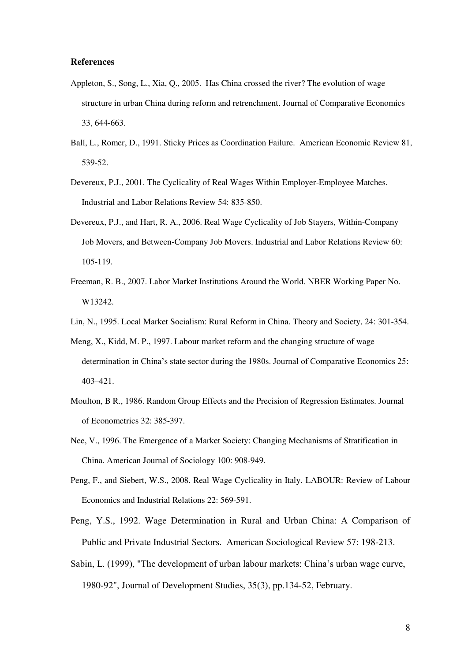#### **References**

- Appleton, S., Song, L., Xia, Q., 2005. Has China crossed the river? The evolution of wage structure in urban China during reform and retrenchment. Journal of Comparative Economics 33, 644-663.
- Ball, L., Romer, D., 1991. Sticky Prices as Coordination Failure. American Economic Review 81, 539-52.
- Devereux, P.J., 2001. The Cyclicality of Real Wages Within Employer-Employee Matches. Industrial and Labor Relations Review 54: 835-850.
- Devereux, P.J., and Hart, R. A., 2006. Real Wage Cyclicality of Job Stayers, Within-Company Job Movers, and Between-Company Job Movers. Industrial and Labor Relations Review 60: 105-119.
- Freeman, R. B., 2007. Labor Market Institutions Around the World. NBER Working Paper No. W13242.
- Lin, N., 1995. Local Market Socialism: Rural Reform in China. Theory and Society, 24: 301-354.
- Meng, X., Kidd, M. P., 1997. Labour market reform and the changing structure of wage determination in China's state sector during the 1980s. Journal of Comparative Economics 25: 403–421.
- Moulton, B R., 1986. Random Group Effects and the Precision of Regression Estimates. Journal of Econometrics 32: 385-397.
- Nee, V., 1996. The Emergence of a Market Society: Changing Mechanisms of Stratification in China. American Journal of Sociology 100: 908-949.
- Peng, F., and Siebert, W.S., 2008. Real Wage Cyclicality in Italy. LABOUR: Review of Labour Economics and Industrial Relations 22: 569-591.
- Peng, Y.S., 1992. Wage Determination in Rural and Urban China: A Comparison of Public and Private Industrial Sectors. American Sociological Review 57: 198-213.
- Sabin, L. (1999), "The development of urban labour markets: China's urban wage curve, 1980-92", Journal of Development Studies, 35(3), pp.134-52, February.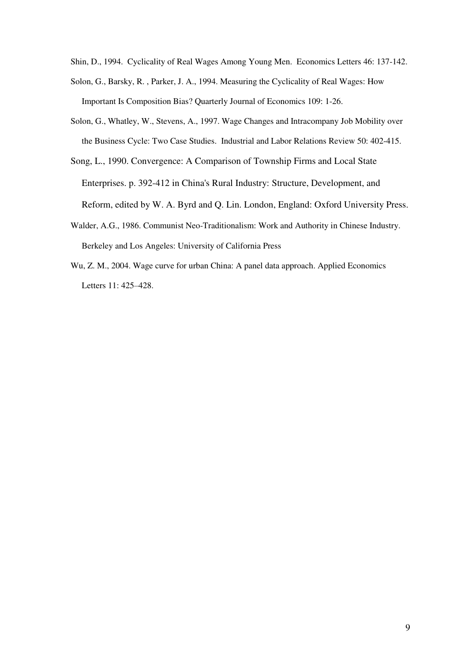Shin, D., 1994. Cyclicality of Real Wages Among Young Men. Economics Letters 46: 137-142.

- Solon, G., Barsky, R. , Parker, J. A., 1994. Measuring the Cyclicality of Real Wages: How Important Is Composition Bias? Quarterly Journal of Economics 109: 1-26.
- Solon, G., Whatley, W., Stevens, A., 1997. Wage Changes and Intracompany Job Mobility over the Business Cycle: Two Case Studies. Industrial and Labor Relations Review 50: 402-415.
- Song, L., 1990. Convergence: A Comparison of Township Firms and Local State Enterprises. p. 392-412 in China's Rural Industry: Structure, Development, and Reform, edited by W. A. Byrd and Q. Lin. London, England: Oxford University Press.
- Walder, A.G., 1986. Communist Neo-Traditionalism: Work and Authority in Chinese Industry. Berkeley and Los Angeles: University of California Press
- Wu, Z. M., 2004. Wage curve for urban China: A panel data approach. Applied Economics Letters 11: 425–428.